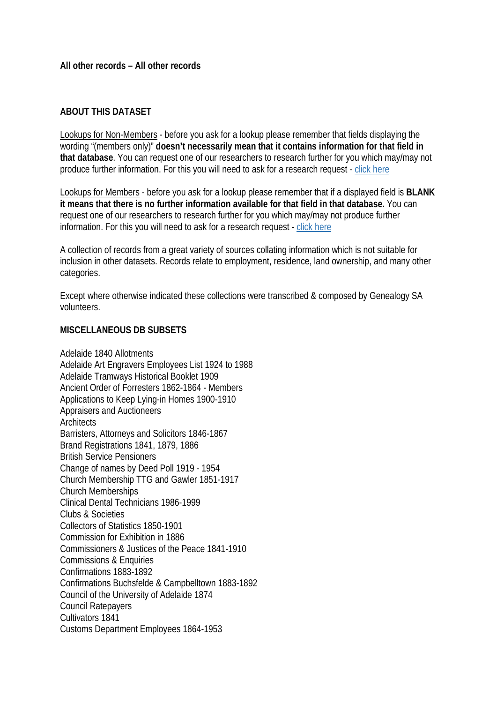## **ABOUT THIS DATASET**

Lookups for Non-Members - before you ask for a lookup please remember that fields displaying the wording "(members only)" **doesn't necessarily mean that it contains information for that field in that database**. You can request one of our researchers to research further for you which may/may not produce further information. For this you will need to ask for a research request - [click here](https://www.genealogysa.org.au/services/research)

Lookups for Members - before you ask for a lookup please remember that if a displayed field is **BLANK it means that there is no further information available for that field in that database.** You can request one of our researchers to research further for you which may/may not produce further information. For this you will need to ask for a research request - [click here](https://www.genealogysa.org.au/services/research)

A collection of records from a great variety of sources collating information which is not suitable for inclusion in other datasets. Records relate to employment, residence, land ownership, and many other categories.

Except where otherwise indicated these collections were transcribed & composed by Genealogy SA volunteers.

## **MISCELLANEOUS DB SUBSETS**

Adelaide 1840 Allotments Adelaide Art Engravers Employees List 1924 to 1988 Adelaide Tramways Historical Booklet 1909 Ancient Order of Forresters 1862-1864 - Members Applications to Keep Lying-in Homes 1900-1910 Appraisers and Auctioneers **Architects** Barristers, Attorneys and Solicitors 1846-1867 Brand Registrations 1841, 1879, 1886 British Service Pensioners Change of names by Deed Poll 1919 - 1954 Church Membership TTG and Gawler 1851-1917 Church Memberships Clinical Dental Technicians 1986-1999 Clubs & Societies Collectors of Statistics 1850-1901 Commission for Exhibition in 1886 Commissioners & Justices of the Peace 1841-1910 Commissions & Enquiries Confirmations 1883-1892 Confirmations Buchsfelde & Campbelltown 1883-1892 Council of the University of Adelaide 1874 Council Ratepayers Cultivators 1841 Customs Department Employees 1864-1953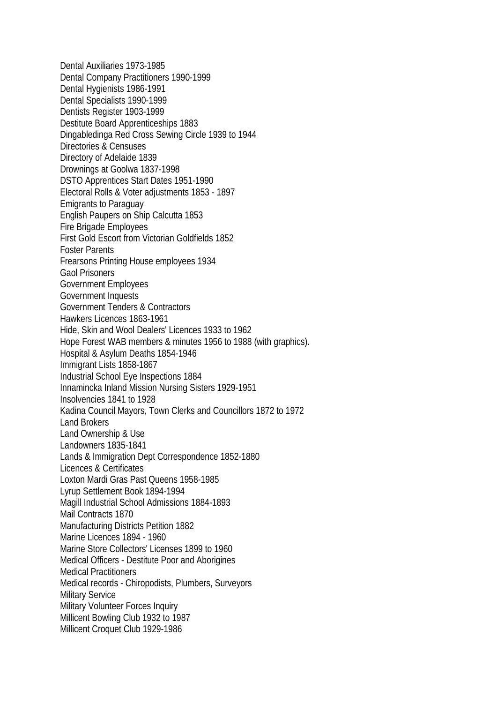Dental Auxiliaries 1973-1985 Dental Company Practitioners 1990-1999 Dental Hygienists 1986-1991 Dental Specialists 1990-1999 Dentists Register 1903-1999 Destitute Board Apprenticeships 1883 Dingabledinga Red Cross Sewing Circle 1939 to 1944 Directories & Censuses Directory of Adelaide 1839 Drownings at Goolwa 1837-1998 DSTO Apprentices Start Dates 1951-1990 Electoral Rolls & Voter adjustments 1853 - 1897 Emigrants to Paraguay English Paupers on Ship Calcutta 1853 Fire Brigade Employees First Gold Escort from Victorian Goldfields 1852 Foster Parents Frearsons Printing House employees 1934 Gaol Prisoners Government Employees Government Inquests Government Tenders & Contractors Hawkers Licences 1863-1961 Hide, Skin and Wool Dealers' Licences 1933 to 1962 Hope Forest WAB members & minutes 1956 to 1988 (with graphics). Hospital & Asylum Deaths 1854-1946 Immigrant Lists 1858-1867 Industrial School Eye Inspections 1884 Innamincka Inland Mission Nursing Sisters 1929-1951 Insolvencies 1841 to 1928 Kadina Council Mayors, Town Clerks and Councillors 1872 to 1972 Land Brokers Land Ownership & Use Landowners 1835-1841 Lands & Immigration Dept Correspondence 1852-1880 Licences & Certificates Loxton Mardi Gras Past Queens 1958-1985 Lyrup Settlement Book 1894-1994 Magill Industrial School Admissions 1884-1893 Mail Contracts 1870 Manufacturing Districts Petition 1882 Marine Licences 1894 - 1960 Marine Store Collectors' Licenses 1899 to 1960 Medical Officers - Destitute Poor and Aborigines Medical Practitioners Medical records - Chiropodists, Plumbers, Surveyors Military Service Military Volunteer Forces Inquiry Millicent Bowling Club 1932 to 1987 Millicent Croquet Club 1929-1986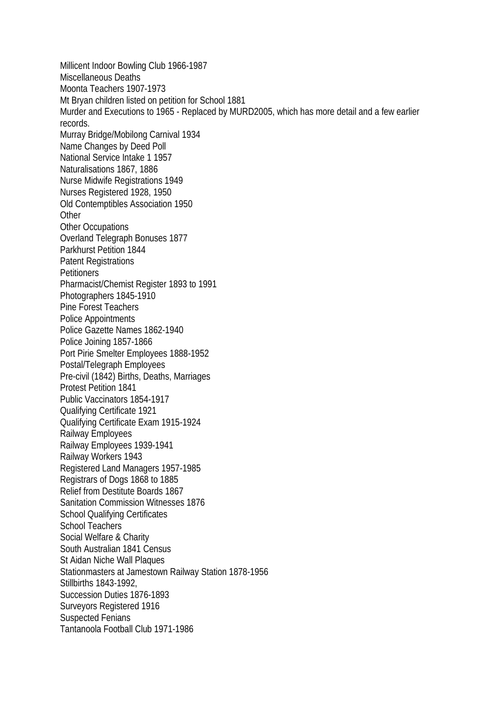Millicent Indoor Bowling Club 1966-1987 Miscellaneous Deaths Moonta Teachers 1907-1973 Mt Bryan children listed on petition for School 1881 Murder and Executions to 1965 - Replaced by MURD2005, which has more detail and a few earlier records. Murray Bridge/Mobilong Carnival 1934 Name Changes by Deed Poll National Service Intake 1 1957 Naturalisations 1867, 1886 Nurse Midwife Registrations 1949 Nurses Registered 1928, 1950 Old Contemptibles Association 1950 **Other** Other Occupations Overland Telegraph Bonuses 1877 Parkhurst Petition 1844 Patent Registrations **Petitioners** Pharmacist/Chemist Register 1893 to 1991 Photographers 1845-1910 Pine Forest Teachers Police Appointments Police Gazette Names 1862-1940 Police Joining 1857-1866 Port Pirie Smelter Employees 1888-1952 Postal/Telegraph Employees Pre-civil (1842) Births, Deaths, Marriages Protest Petition 1841 Public Vaccinators 1854-1917 Qualifying Certificate 1921 Qualifying Certificate Exam 1915-1924 Railway Employees Railway Employees 1939-1941 Railway Workers 1943 Registered Land Managers 1957-1985 Registrars of Dogs 1868 to 1885 Relief from Destitute Boards 1867 Sanitation Commission Witnesses 1876 School Qualifying Certificates School Teachers Social Welfare & Charity South Australian 1841 Census St Aidan Niche Wall Plaques Stationmasters at Jamestown Railway Station 1878-1956 Stillbirths 1843-1992, Succession Duties 1876-1893 Surveyors Registered 1916 Suspected Fenians Tantanoola Football Club 1971-1986